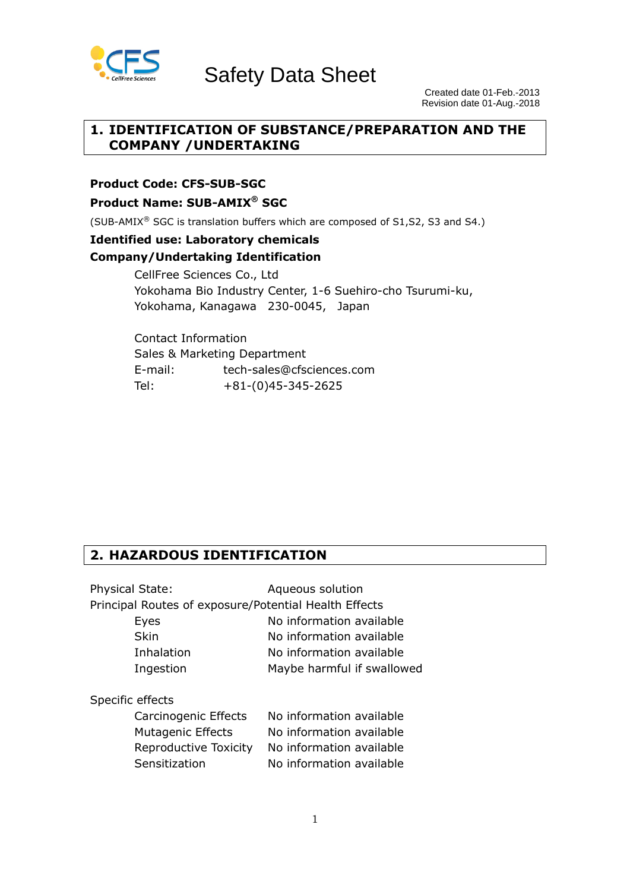

Safety Data Sheet

 Created date 01-Feb.-2013 Revision date 01-Aug.-2018

## **1. IDENTIFICATION OF SUBSTANCE/PREPARATION AND THE COMPANY /UNDERTAKING**

**Product Code: CFS-SUB-SGC**

**Product Name: SUB-AMIX® SGC**

(SUB-AMIX® SGC is translation buffers which are composed of S1,S2, S3 and S4.)

## **Identified use: Laboratory chemicals**

#### **Company/Undertaking Identification**

CellFree Sciences Co., Ltd Yokohama Bio Industry Center, 1-6 Suehiro-cho Tsurumi-ku, Yokohama, Kanagawa 230-0045, Japan

Contact Information Sales & Marketing Department E-mail: tech-sales@cfsciences.com Tel: +81-(0)45-345-2625

## **2. HAZARDOUS IDENTIFICATION**

| <b>Physical State:</b>                                | Aqueous solution           |
|-------------------------------------------------------|----------------------------|
| Principal Routes of exposure/Potential Health Effects |                            |
| Eyes                                                  | No information available   |
| <b>Skin</b>                                           | No information available   |
| Inhalation                                            | No information available   |
| Ingestion                                             | Maybe harmful if swallowed |
| Specific effects                                      |                            |
| Carcinogenic Effects                                  | No information available   |
| <b>Mutagenic Effects</b>                              | No information available   |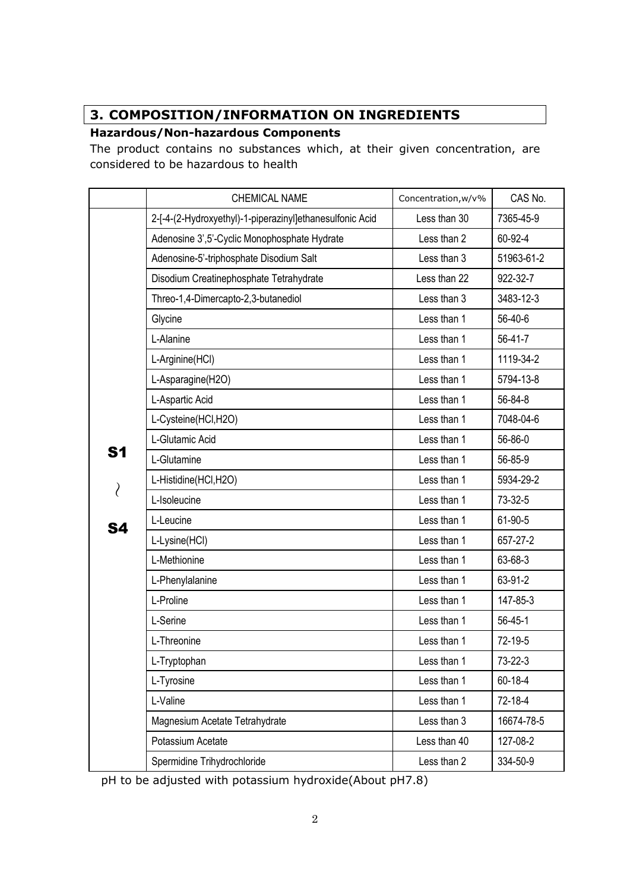# **3. COMPOSITION/INFORMATION ON INGREDIENTS**

## **Hazardous/Non-hazardous Components**

The product contains no substances which, at their given concentration, are considered to be hazardous to health

|    | <b>CHEMICAL NAME</b>                                     | Concentration, w/v% | CAS No.       |
|----|----------------------------------------------------------|---------------------|---------------|
|    | 2-[-4-(2-Hydroxyethyl)-1-piperazinyl]ethanesulfonic Acid | Less than 30        | 7365-45-9     |
|    | Adenosine 3',5'-Cyclic Monophosphate Hydrate             | Less than 2         | 60-92-4       |
|    | Adenosine-5'-triphosphate Disodium Salt                  | Less than 3         | 51963-61-2    |
|    | Disodium Creatinephosphate Tetrahydrate                  | Less than 22        | 922-32-7      |
|    | Threo-1,4-Dimercapto-2,3-butanediol                      | Less than 3         | 3483-12-3     |
|    | Glycine                                                  | Less than 1         | 56-40-6       |
|    | L-Alanine                                                | Less than 1         | 56-41-7       |
|    | L-Arginine(HCl)                                          | Less than 1         | 1119-34-2     |
|    | L-Asparagine(H2O)                                        | Less than 1         | 5794-13-8     |
|    | L-Aspartic Acid                                          | Less than 1         | 56-84-8       |
|    | L-Cysteine(HCI,H2O)                                      | Less than 1         | 7048-04-6     |
|    | L-Glutamic Acid                                          | Less than 1         | 56-86-0       |
| S1 | L-Glutamine                                              | Less than 1         | 56-85-9       |
|    | L-Histidine(HCI,H2O)                                     | Less than 1         | 5934-29-2     |
| ∖  | L-Isoleucine                                             | Less than 1         | 73-32-5       |
| S4 | L-Leucine                                                | Less than 1         | 61-90-5       |
|    | L-Lysine(HCl)                                            | Less than 1         | 657-27-2      |
|    | L-Methionine                                             | Less than 1         | 63-68-3       |
|    | L-Phenylalanine                                          | Less than 1         | 63-91-2       |
|    | L-Proline                                                | Less than 1         | 147-85-3      |
|    | L-Serine                                                 | Less than 1         | $56 - 45 - 1$ |
|    | L-Threonine                                              | Less than 1         | 72-19-5       |
|    | L-Tryptophan                                             | Less than 1         | 73-22-3       |
|    | L-Tyrosine                                               | Less than 1         | 60-18-4       |
|    | L-Valine                                                 | Less than 1         | 72-18-4       |
|    | Magnesium Acetate Tetrahydrate                           | Less than 3         | 16674-78-5    |
|    | Potassium Acetate                                        | Less than 40        | 127-08-2      |
|    | Spermidine Trihydrochloride                              | Less than 2         | 334-50-9      |

pH to be adjusted with potassium hydroxide(About pH7.8)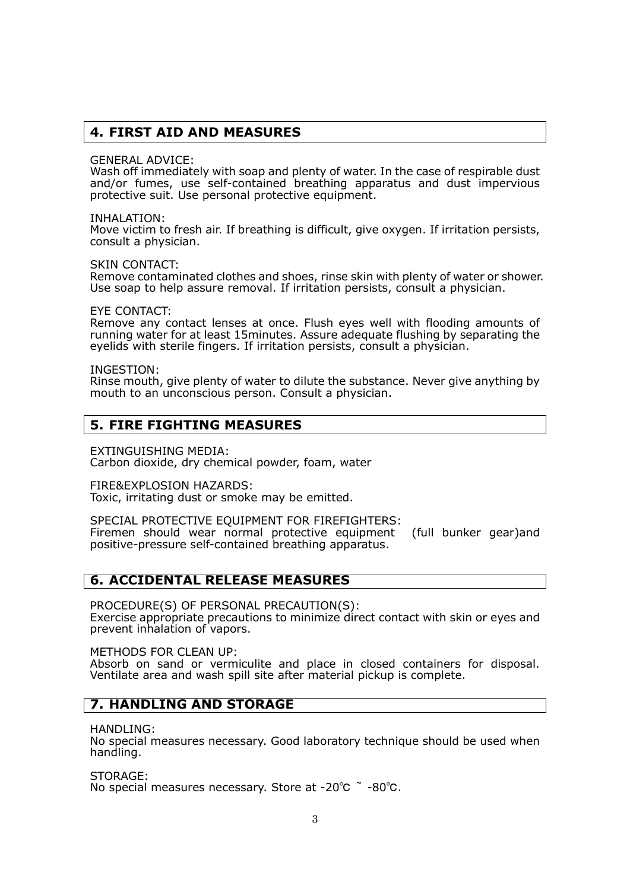#### **4. FIRST AID AND MEASURES**

GENERAL ADVICE:

Wash off immediately with soap and plenty of water. In the case of respirable dust and/or fumes, use self-contained breathing apparatus and dust impervious protective suit. Use personal protective equipment.

INHALATION:

Move victim to fresh air. If breathing is difficult, give oxygen. If irritation persists, consult a physician.

SKIN CONTACT:

Remove contaminated clothes and shoes, rinse skin with plenty of water or shower. Use soap to help assure removal. If irritation persists, consult a physician.

EYE CONTACT:

Remove any contact lenses at once. Flush eyes well with flooding amounts of running water for at least 15minutes. Assure adequate flushing by separating the eyelids with sterile fingers. If irritation persists, consult a physician.

INGESTION:

Rinse mouth, give plenty of water to dilute the substance. Never give anything by mouth to an unconscious person. Consult a physician.

## **5. FIRE FIGHTING MEASURES**

EXTINGUISHING MEDIA: Carbon dioxide, dry chemical powder, foam, water

FIRE&EXPLOSION HAZARDS: Toxic, irritating dust or smoke may be emitted.

SPECIAL PROTECTIVE EQUIPMENT FOR FIREFIGHTERS: Firemen should wear normal protective equipment (full bunker gear)and positive-pressure self-contained breathing apparatus.

#### **6. ACCIDENTAL RELEASE MEASURES**

PROCEDURE(S) OF PERSONAL PRECAUTION(S): Exercise appropriate precautions to minimize direct contact with skin or eyes and prevent inhalation of vapors.

METHODS FOR CLEAN UP:

Absorb on sand or vermiculite and place in closed containers for disposal. Ventilate area and wash spill site after material pickup is complete.

#### **7. HANDLING AND STORAGE**

HANDLING:

No special measures necessary. Good laboratory technique should be used when handling.

STORAGE:

No special measures necessary. Store at -20℃ ~ -80℃.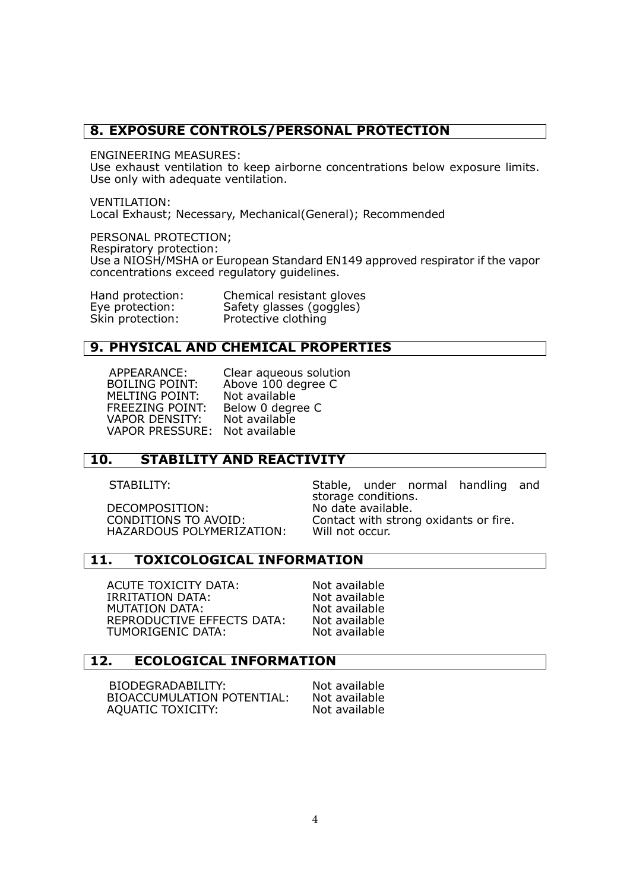#### **8. EXPOSURE CONTROLS/PERSONAL PROTECTION**

ENGINEERING MEASURES:

Use exhaust ventilation to keep airborne concentrations below exposure limits. Use only with adequate ventilation.

VENTILATION: Local Exhaust; Necessary, Mechanical(General); Recommended

PERSONAL PROTECTION;

Respiratory protection:

Use a NIOSH/MSHA or European Standard EN149 approved respirator if the vapor concentrations exceed regulatory guidelines.

| Hand protection: | Chemical resistant gloves |
|------------------|---------------------------|
| Eye protection:  | Safety glasses (goggles)  |
| Skin protection: | Protective clothing       |

#### **9. PHYSICAL AND CHEMICAL PROPERTIES**

MELTING POINT: VAPOR DENSITY: Not available VAPOR PRESSURE:

APPEARANCE: Clear aqueous solution BOILING POINT: Above 100 degree C<br>MELTING POINT: Not available FREEZING POINT: Below 0 degree C

## **10. STABILITY AND REACTIVITY**

DECOMPOSITION: No date available.<br>CONDITIONS TO AVOID: Contact with stron HAZARDOUS POLYMERIZATION: Will not occur.

STABILITY: Stable, under normal handling and storage conditions. Contact with strong oxidants or fire.

#### **11. TOXICOLOGICAL INFORMATION**

ACUTE TOXICITY DATA: Not available<br>
IRRITATION DATA: Not available IRRITATION DATA: Not available<br>MUTATION DATA: Not available **MUTATION DATA:**  REPRODUCTIVE EFFECTS DATA: Not available TUMORIGENIC DATA: Not available

#### **12. ECOLOGICAL INFORMATION**

BIODEGRADABILITY: Not available BIOACCUMULATION POTENTIAL: Not available AQUATIC TOXICITY: Not available